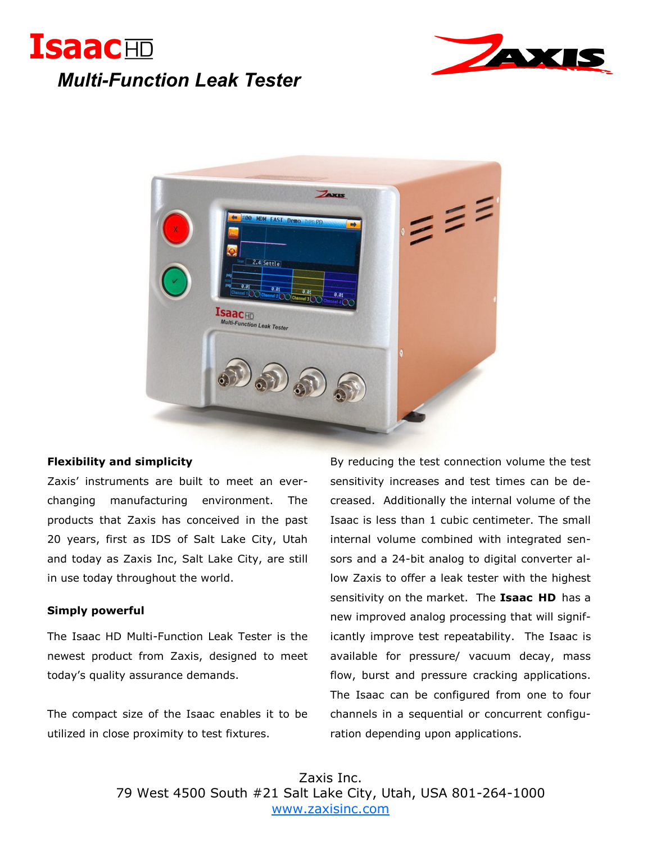





## **Flexibility and simplicity**

Zaxis' instruments are built to meet an everchanging manufacturing environment. The products that Zaxis has conceived in the past 20 years, first as IDS of Salt Lake City, Utah and today as Zaxis Inc, Salt Lake City, are still in use today throughout the world.

## **Simply powerful**

The Isaac HD Multi-Function Leak Tester is the newest product from Zaxis, designed to meet today's quality assurance demands.

The compact size of the Isaac enables it to be utilized in close proximity to test fixtures.

By reducing the test connection volume the test sensitivity increases and test times can be decreased. Additionally the internal volume of the Isaac is less than 1 cubic centimeter. The small internal volume combined with integrated sensors and a 24-bit analog to digital converter allow Zaxis to offer a leak tester with the highest sensitivity on the market. The **Isaac HD** has a new improved analog processing that will significantly improve test repeatability. The Isaac is available for pressure/ vacuum decay, mass flow, burst and pressure cracking applications. The Isaac can be configured from one to four channels in a sequential or concurrent configuration depending upon applications.

Zaxis Inc. 79 West 4500 South #21 Salt Lake City, Utah, USA 801-264-1000 [www.zaxisinc.com](http://www.zaxisinc.com/)